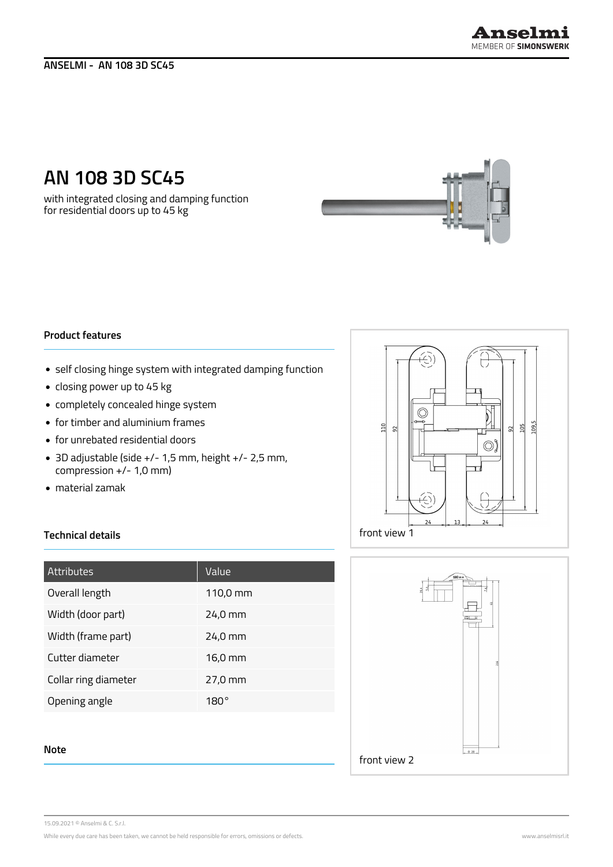# **AN 108 3D SC45**

with integrated closing and damping function for residential doors up to 45 kg

## **Product features**

- self closing hinge system with integrated damping function
- closing power up to 45 kg
- completely concealed hinge system
- for timber and aluminium frames
- for unrebated residential doors
- 3D adjustable (side +/- 1,5 mm, height +/- 2,5 mm, compression +/- 1,0 mm)
- material zamak

# $\circledcirc$ 109,5  $110$  $\vert$   $\vert$  $92$  $\approx$  $\circledcirc$  $\overline{\mathbb{C}}$ front view 1



| Attributes           | Value       |
|----------------------|-------------|
| Overall length       | 110,0 mm    |
| Width (door part)    | 24,0 mm     |
| Width (frame part)   | 24,0 mm     |
| Cutter diameter      | 16,0 mm     |
| Collar ring diameter | 27,0 mm     |
| Opening angle        | $180^\circ$ |
|                      |             |
| . .                  |             |



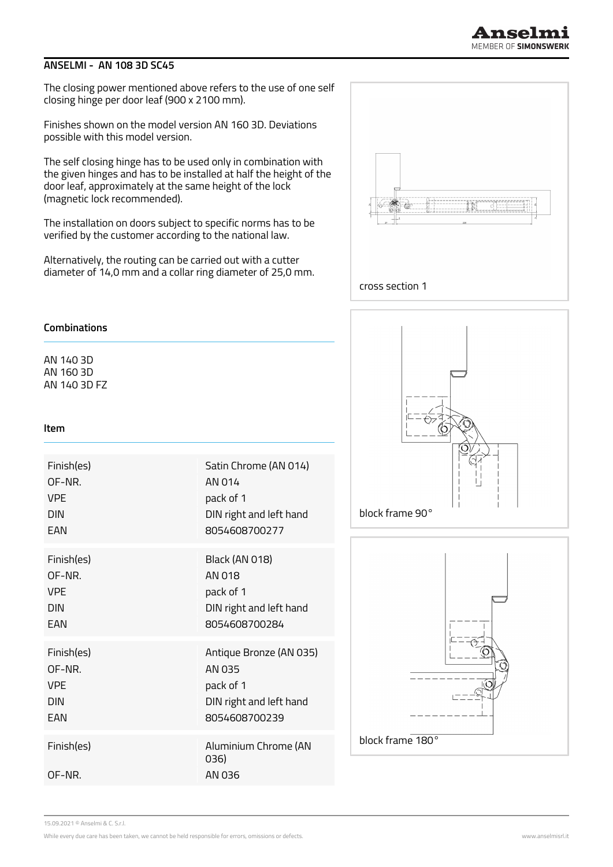## **ANSELMI - AN 108 3D SC45**

The closing power mentioned above refers to the use of one self closing hinge per door leaf (900 x 2100 mm).

Finishes shown on the model version AN 160 3D. Deviations possible with this model version.

The self closing hinge has to be used only in combination with the given hinges and has to be installed at half the height of the door leaf, approximately at the same height of the lock (magnetic lock recommended).

The installation on doors subject to specific norms has to be verified by the customer according to the national law.

Alternatively, the routing can be carried out with a cutter diameter of 14,0 mm and a collar ring diameter of 25,0 mm.



### **Combinations**

AN 140 3D AN 160 3D AN 140 3D FZ

#### **Item**

| Finish(es)          | Satin Chrome (AN 014)                  |
|---------------------|----------------------------------------|
| OF-NR.              | AN 014                                 |
| <b>VPF</b>          | pack of 1                              |
| <b>DIN</b>          | DIN right and left hand                |
| <b>FAN</b>          | 8054608700277                          |
| Finish(es)          | <b>Black (AN 018)</b>                  |
| OF-NR.              | AN 018                                 |
| <b>VPF</b>          | pack of 1                              |
| <b>DIN</b>          | DIN right and left hand                |
| FAN                 | 8054608700284                          |
| Finish(es)          | Antique Bronze (AN 035)                |
| OF-NR.              | AN 035                                 |
| VPF                 | pack of 1                              |
| <b>DIN</b>          | DIN right and left hand                |
| FAN                 | 8054608700239                          |
| Finish(es)<br>OF-NR | Aluminium Chrome (AN<br>036)<br>AN 036 |





15.09.2021 © Anselmi & C. S.r.l.

While every due care has been taken, we cannot be held responsible for errors, omissions or defects. We wanted that the state of the state of the state of the state of the state of the state of the state of the state of th